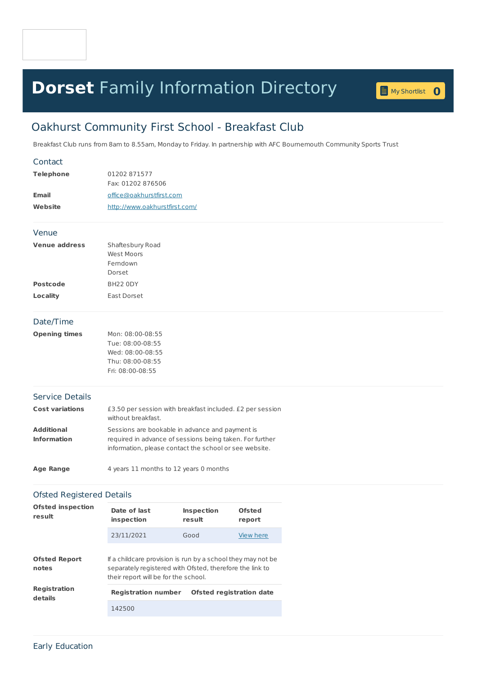## **Dorset** Family [Information](home.page) Directory **<sup>0</sup>**

My [Shortlist](shortlist.page) 0

## Oakhurst Community First School - Breakfast Club

Breakfast Club runs from 8am to 8.55am, Monday to Friday. In partnership with AFC Bournemouth Community Sports Trust

| Contact                                 |                                                                                                                                                                       |                             |                         |  |  |  |  |
|-----------------------------------------|-----------------------------------------------------------------------------------------------------------------------------------------------------------------------|-----------------------------|-------------------------|--|--|--|--|
| <b>Telephone</b>                        | 01202871577                                                                                                                                                           |                             |                         |  |  |  |  |
|                                         | Fax: 01202 876506                                                                                                                                                     |                             |                         |  |  |  |  |
| <b>Email</b>                            | office@oakhurstfirst.com                                                                                                                                              |                             |                         |  |  |  |  |
| Website                                 | http://www.oakhurstfirst.com/                                                                                                                                         |                             |                         |  |  |  |  |
| Venue                                   |                                                                                                                                                                       |                             |                         |  |  |  |  |
| <b>Venue address</b>                    | Shaftesbury Road<br><b>West Moors</b><br>Ferndown<br>Dorset                                                                                                           |                             |                         |  |  |  |  |
| <b>Postcode</b>                         | BH22 0DY                                                                                                                                                              |                             |                         |  |  |  |  |
| <b>Locality</b>                         | East Dorset                                                                                                                                                           |                             |                         |  |  |  |  |
| Date/Time                               |                                                                                                                                                                       |                             |                         |  |  |  |  |
| <b>Opening times</b>                    | Mon: 08:00-08:55<br>Tue: 08:00-08:55<br>Wed: 08:00-08:55<br>Thu: 08:00-08:55<br>Fri: 08:00-08:55                                                                      |                             |                         |  |  |  |  |
| <b>Service Details</b>                  |                                                                                                                                                                       |                             |                         |  |  |  |  |
| <b>Cost variations</b>                  | £3.50 per session with breakfast included. £2 per session<br>without breakfast.                                                                                       |                             |                         |  |  |  |  |
| <b>Additional</b><br><b>Information</b> | Sessions are bookable in advance and payment is<br>required in advance of sessions being taken. For further<br>information, please contact the school or see website. |                             |                         |  |  |  |  |
| <b>Age Range</b>                        | 4 years 11 months to 12 years 0 months                                                                                                                                |                             |                         |  |  |  |  |
| <b>Ofsted Registered Details</b>        |                                                                                                                                                                       |                             |                         |  |  |  |  |
| <b>Ofsted inspection</b><br>result      | Date of last<br>inspection                                                                                                                                            | <b>Inspection</b><br>result | <b>Ofsted</b><br>report |  |  |  |  |
|                                         | 23/11/2021                                                                                                                                                            | Good                        | View here               |  |  |  |  |
| <b>Ofsted Report</b><br>notes           | If a childcare provision is run by a school they may not be<br>separately registered with Ofsted, therefore the link to<br>their report will be for the school.       |                             |                         |  |  |  |  |
| <b>Registration</b><br>details          | <b>Ofsted registration date</b><br><b>Registration number</b>                                                                                                         |                             |                         |  |  |  |  |
|                                         |                                                                                                                                                                       |                             |                         |  |  |  |  |